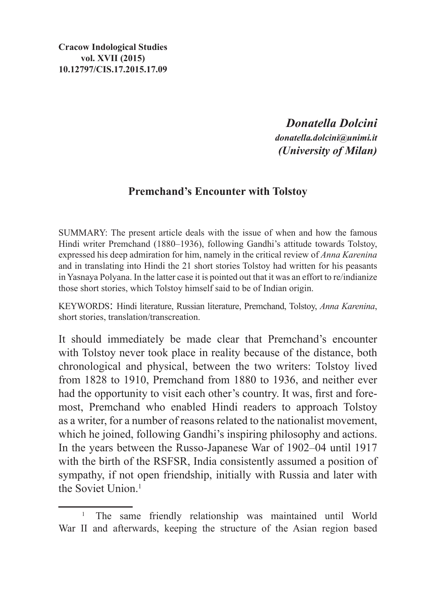*Donatella Dolcini donatella.dolcini@unimi.it (University of Milan)*

## **Premchand's Encounter with Tolstoy**

SUMMARY: The present article deals with the issue of when and how the famous Hindi writer Premchand (1880–1936), following Gandhi's attitude towards Tolstoy, expressed his deep admiration for him, namely in the critical review of *Anna Karenina* and in translating into Hindi the 21 short stories Tolstoy had written for his peasants in Yasnaya Polyana. In the latter case it is pointed out that it was an effort to re/indianize those short stories, which Tolstoy himself said to be of Indian origin.

Keywords: Hindi literature, Russian literature, Premchand, Tolstoy, *Anna Karenina*, short stories, translation/transcreation.

It should immediately be made clear that Premchand's encounter with Tolstoy never took place in reality because of the distance, both chronological and physical, between the two writers: Tolstoy lived from 1828 to 1910, Premchand from 1880 to 1936, and neither ever had the opportunity to visit each other's country. It was, first and foremost, Premchand who enabled Hindi readers to approach Tolstoy as a writer, for a number of reasons related to the nationalist movement, which he joined, following Gandhi's inspiring philosophy and actions. In the years between the Russo-Japanese War of 1902–04 until 1917 with the birth of the RSFSR, India consistently assumed a position of sympathy, if not open friendship, initially with Russia and later with the Soviet Union<sup>1</sup>

<sup>&</sup>lt;sup>1</sup> The same friendly relationship was maintained until World War II and afterwards, keeping the structure of the Asian region based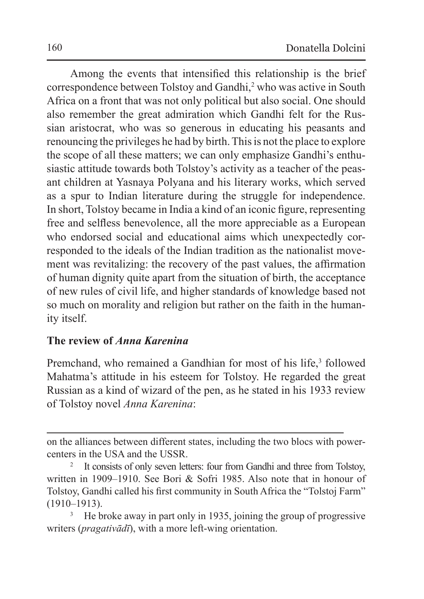Among the events that intensified this relationship is the brief correspondence between Tolstoy and Gandhi,<sup>2</sup> who was active in South Africa on a front that was not only political but also social. One should also remember the great admiration which Gandhi felt for the Russian aristocrat, who was so generous in educating his peasants and renouncing the privileges he had by birth. This is not the place to explore the scope of all these matters; we can only emphasize Gandhi's enthusiastic attitude towards both Tolstoy's activity as a teacher of the peasant children at Yasnaya Polyana and his literary works, which served as a spur to Indian literature during the struggle for independence. In short, Tolstoy became in India a kind of an iconic figure, representing free and selfless benevolence, all the more appreciable as a European who endorsed social and educational aims which unexpectedly corresponded to the ideals of the Indian tradition as the nationalist movement was revitalizing: the recovery of the past values, the affirmation of human dignity quite apart from the situation of birth, the acceptance of new rules of civil life, and higher standards of knowledge based not so much on morality and religion but rather on the faith in the humanity itself.

## **The review of** *Anna Karenina*

Premchand, who remained a Gandhian for most of his life,<sup>3</sup> followed Mahatma's attitude in his esteem for Tolstoy. He regarded the great Russian as a kind of wizard of the pen, as he stated in his 1933 review of Tolstoy novel *Anna Karenina*:

on the alliances between different states, including the two blocs with powercenters in the USA and the USSR.<br><sup>2</sup> It consists of only seven letters: four from Gandhi and three from Tolstoy,

written in 1909–1910. See Bori & Sofri 1985. Also note that in honour of Tolstoy, Gandhi called his first community in South Africa the "Tolstoj Farm" (1910–1913).

<sup>3</sup> He broke away in part only in 1935, joining the group of progressive writers (*pragativādī*), with a more left-wing orientation.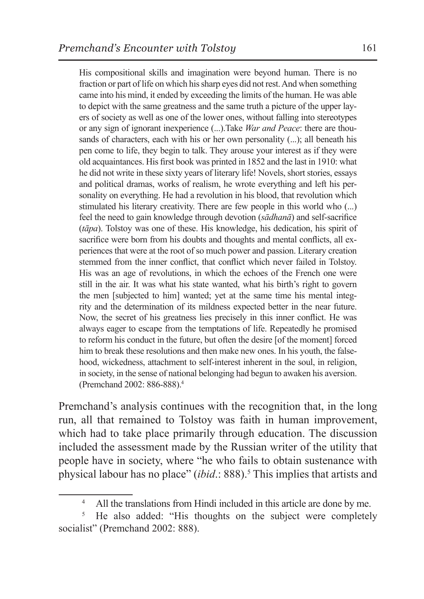His compositional skills and imagination were beyond human. There is no fraction or part of life on which his sharp eyes did not rest. And when something came into his mind, it ended by exceeding the limits of the human. He was able to depict with the same greatness and the same truth a picture of the upper layers of society as well as one of the lower ones, without falling into stereotypes or any sign of ignorant inexperience (...).Take *War and Peace*: there are thousands of characters, each with his or her own personality (...); all beneath his pen come to life, they begin to talk. They arouse your interest as if they were old acquaintances. His first book was printed in 1852 and the last in 1910: what he did not write in these sixty years of literary life! Novels, short stories, essays and political dramas, works of realism, he wrote everything and left his personality on everything. He had a revolution in his blood, that revolution which stimulated his literary creativity. There are few people in this world who (...) feel the need to gain knowledge through devotion (*sādhanā*) and self-sacrifice (*tāpa*). Tolstoy was one of these. His knowledge, his dedication, his spirit of sacrifice were born from his doubts and thoughts and mental conflicts, all experiences that were at the root of so much power and passion. Literary creation stemmed from the inner conflict, that conflict which never failed in Tolstoy. His was an age of revolutions, in which the echoes of the French one were still in the air. It was what his state wanted, what his birth's right to govern the men [subjected to him] wanted; yet at the same time his mental integrity and the determination of its mildness expected better in the near future. Now, the secret of his greatness lies precisely in this inner conflict. He was always eager to escape from the temptations of life. Repeatedly he promised to reform his conduct in the future, but often the desire [of the moment] forced him to break these resolutions and then make new ones. In his youth, the falsehood, wickedness, attachment to self-interest inherent in the soul, in religion, in society, in the sense of national belonging had begun to awaken his aversion. (Premchand 2002: 886-888).4

Premchand's analysis continues with the recognition that, in the long run, all that remained to Tolstoy was faith in human improvement, which had to take place primarily through education. The discussion included the assessment made by the Russian writer of the utility that people have in society, where "he who fails to obtain sustenance with physical labour has no place" (*ibid*.: 888).<sup>5</sup> This implies that artists and

<sup>&</sup>lt;sup>4</sup> All the translations from Hindi included in this article are done by me.

<sup>&</sup>lt;sup>5</sup> He also added: "His thoughts on the subject were completely socialist" (Premchand 2002: 888).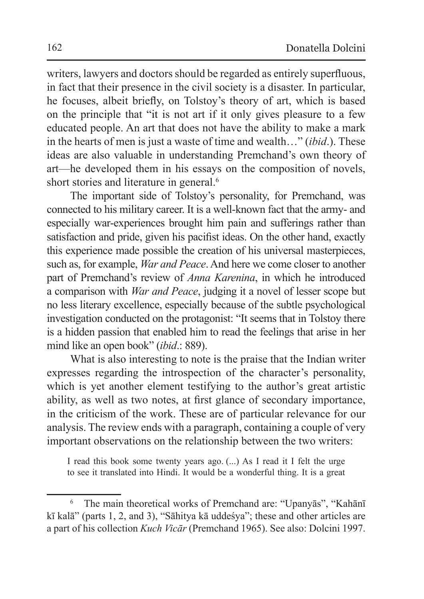writers, lawyers and doctors should be regarded as entirely superfluous, in fact that their presence in the civil society is a disaster. In particular, he focuses, albeit briefly, on Tolstoy's theory of art, which is based on the principle that "it is not art if it only gives pleasure to a few educated people. An art that does not have the ability to make a mark in the hearts of men is just a waste of time and wealth…" (*ibid*.). These ideas are also valuable in understanding Premchand's own theory of art—he developed them in his essays on the composition of novels, short stories and literature in general.<sup>6</sup>

The important side of Tolstoy's personality, for Premchand, was connected to his military career. It is a well-known fact that the army- and especially war-experiences brought him pain and sufferings rather than satisfaction and pride, given his pacifist ideas. On the other hand, exactly this experience made possible the creation of his universal masterpieces, such as, for example, *War and Peace*. And here we come closer to another part of Premchand's review of *Anna Karenina*, in which he introduced a comparison with *War and Peace*, judging it a novel of lesser scope but no less literary excellence, especially because of the subtle psychological investigation conducted on the protagonist: "It seems that in Tolstoy there is a hidden passion that enabled him to read the feelings that arise in her mind like an open book" (*ibid*.: 889).

What is also interesting to note is the praise that the Indian writer expresses regarding the introspection of the character's personality, which is yet another element testifying to the author's great artistic ability, as well as two notes, at first glance of secondary importance, in the criticism of the work. These are of particular relevance for our analysis. The review ends with a paragraph, containing a couple of very important observations on the relationship between the two writers:

I read this book some twenty years ago. (...) As I read it I felt the urge to see it translated into Hindi. It would be a wonderful thing. It is a great

<sup>6</sup> The main theoretical works of Premchand are: "Upanyās", "Kahānī kī kalā" (parts 1, 2, and 3), "Sāhitya kā uddeśya"; these and other articles are a part of his collection *Kuch Vicār* (Premchand 1965). See also: Dolcini 1997.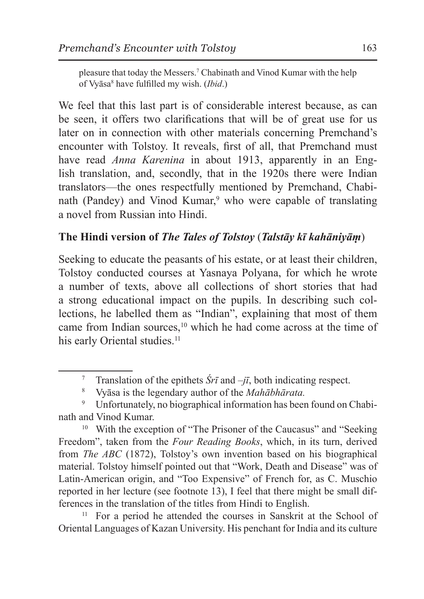pleasure that today the Messers.7 Chabinath and Vinod Kumar with the help of Vyāsa<sup>8</sup> have fulfilled my wish. (*Ibid*.)

We feel that this last part is of considerable interest because, as can be seen, it offers two clarifications that will be of great use for us later on in connection with other materials concerning Premchand's encounter with Tolstoy. It reveals, first of all, that Premchand must have read *Anna Karenina* in about 1913, apparently in an English translation, and, secondly, that in the 1920s there were Indian translators—the ones respectfully mentioned by Premchand, Chabinath (Pandey) and Vinod Kumar,<sup>9</sup> who were capable of translating a novel from Russian into Hindi.

## **The Hindi version of** *The Tales of Tolstoy* (*Talstāy kī kahāniyāṃ*)

Seeking to educate the peasants of his estate, or at least their children, Tolstoy conducted courses at Yasnaya Polyana, for which he wrote a number of texts, above all collections of short stories that had a strong educational impact on the pupils. In describing such collections, he labelled them as "Indian", explaining that most of them came from Indian sources,<sup>10</sup> which he had come across at the time of his early Oriental studies.<sup>11</sup>

<sup>10</sup> With the exception of "The Prisoner of the Caucasus" and "Seeking Freedom", taken from the *Four Reading Books*, which, in its turn, derived from *The ABC* (1872), Tolstoy's own invention based on his biographical material. Tolstoy himself pointed out that "Work, Death and Disease" was of Latin-American origin, and "Too Expensive" of French for, as C. Muschio reported in her lecture (see footnote 13), I feel that there might be small differences in the translation of the titles from Hindi to English.

<sup>11</sup> For a period he attended the courses in Sanskrit at the School of Oriental Languages of Kazan University. His penchant for India and its culture

<sup>7</sup> Translation of the epithets  $\hat{S}r\bar{\imath}$  and  $-j\bar{\imath}$ , both indicating respect.<br><sup>8</sup> Vyāsa is the legendary author of the *Mahābhārata*.

Unfortunately, no biographical information has been found on Chabinath and Vinod Kumar.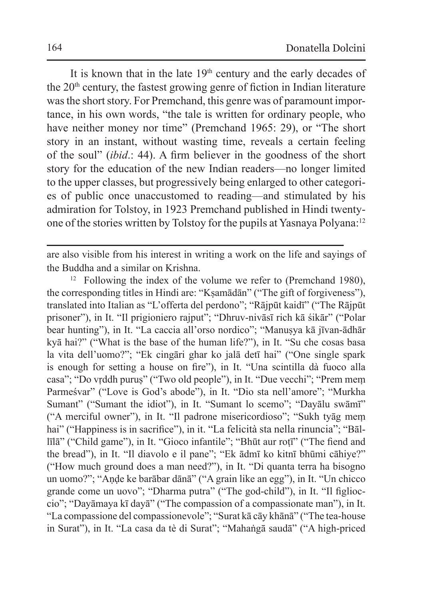It is known that in the late 19<sup>th</sup> century and the early decades of the  $20<sup>th</sup>$  century, the fastest growing genre of fiction in Indian literature was the short story. For Premchand, this genre was of paramount importance, in his own words, "the tale is written for ordinary people, who have neither money nor time" (Premchand 1965: 29), or "The short story in an instant, without wasting time, reveals a certain feeling of the soul" (*ibid*.: 44). A firm believer in the goodness of the short story for the education of the new Indian readers—no longer limited to the upper classes, but progressively being enlarged to other categories of public once unaccustomed to reading—and stimulated by his admiration for Tolstoy, in 1923 Premchand published in Hindi twentyone of the stories written by Tolstoy for the pupils at Yasnaya Polyana:12

are also visible from his interest in writing a work on the life and sayings of the Buddha and a similar on Krishna.

 $12$  Following the index of the volume we refer to (Premchand 1980), the corresponding titles in Hindi are: "Kṣamādān" ("The gift of forgiveness"), translated into Italian as "L'offerta del perdono"; "Rājpūt kaidī" ("The Rājpūt prisoner"), in It. "Il prigioniero rajput"; "Dhruv-nivāsī rich kā śikār" ("Polar bear hunting"), in It. "La caccia all'orso nordico"; "Manusya kā jīvan-ādhār kyā hai?" ("What is the base of the human life?"), in It. "Su che cosas basa la vita dell'uomo?"; "Ek cingāri ghar ko jalā detī hai" ("One single spark is enough for setting a house on fire"), in It. "Una scintilla dà fuoco alla casa"; "Do vṛddh puruṣ" ("Two old people"), in It. "Due vecchi"; "Prem meṃ Parmeśvar" ("Love is God's abode"), in It. "Dio sta nell'amore"; "Murkha Sumant" ("Sumant the idiot"), in It. "Sumant lo scemo"; "Dayālu swāmī" ("A merciful owner"), in It. "Il padrone misericordioso"; "Sukh tyāg meṃ hai" ("Happiness is in sacrifice"), in it. "La felicità sta nella rinuncia"; "Bāllīlā" ("Child game"), in It. "Gioco infantile"; "Bhūt aur roṭī" ("The fiend and the bread"), in It. "Il diavolo e il pane"; "Ek ādmī ko kitnī bhūmi cāhiye?" ("How much ground does a man need?"), in It. "Di quanta terra ha bisogno un uomo?"; "Aṇḍe ke barābar dānā" ("A grain like an egg"), in It. "Un chicco grande come un uovo"; "Dharma putra" ("The god-child"), in It. "Il figlioccio"; "Dayāmaya kī dayā" ("The compassion of a compassionate man"), in It. "La compassione del compassionevole"; "Surat kā cāy khānā" ("The tea-house in Surat"), in It. "La casa da tè di Surat"; "Mahaṅgā saudā" ("A high-priced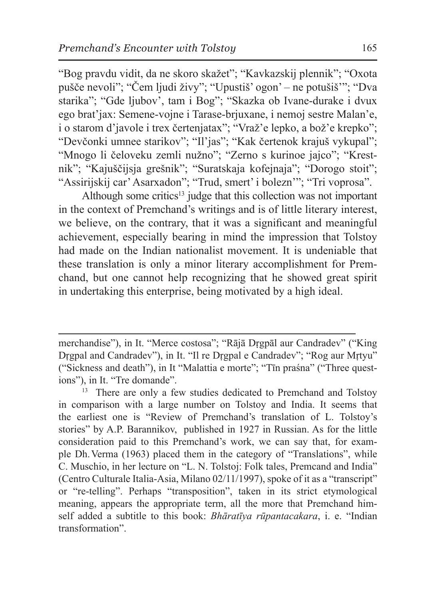"Bog pravdu vidit, da ne skoro skažet"; "Kavkazskij plennik"; "Oxota pušče nevoli"; "Čem ljudi živy"; "Upustiš' ogon' – ne potušiš'"; "Dva starika"; "Gde ljubov', tam i Bog"; "Skazka ob Ivane-durake i dvux ego brat'jax: Semene-vojne i Tarase-brjuxane, i nemoj sestre Malan'e, i o starom d'javole i trex čertenjatax"; "Vraž'e lepko, a bož'e krepko"; "Devčonki umnee starikov"; "Il'jas"; "Kak čertenok krajuš vykupal"; "Mnogo li čeloveku zemli nužno"; "Zerno s kurinoe jajco"; "Krestnik"; "Kajuščijsja grešnik"; "Suratskaja kofejnaja"; "Dorogo stoit"; "Assirijskij car' Asarxadon"; "Trud, smert' i bolezn'"; "Tri voprosa".

Although some critics<sup>13</sup> judge that this collection was not important in the context of Premchand's writings and is of little literary interest, we believe, on the contrary, that it was a significant and meaningful achievement, especially bearing in mind the impression that Tolstoy had made on the Indian nationalist movement. It is undeniable that these translation is only a minor literary accomplishment for Premchand, but one cannot help recognizing that he showed great spirit in undertaking this enterprise, being motivated by a high ideal.

merchandise"), in It. "Merce costosa"; "Rājā Dṛgpāl aur Candradev" ("King Dṛgpal and Candradev"), in It. "Il re Dṛgpal e Candradev"; "Rog aur Mṛtyu" ("Sickness and death"), in It "Malattia e morte"; "Tīn praśna" ("Three questions"), in It. "Tre domande".<br><sup>13</sup> There are only a few studies dedicated to Premchand and Tolstoy

in comparison with a large number on Tolstoy and India. It seems that the earliest one is "Review of Premchand's translation of L. Tolstoy's stories" by A.P. Barannikov, published in 1927 in Russian. As for the little consideration paid to this Premchand's work, we can say that, for example Dh. Verma (1963) placed them in the category of "Translations", while C. Muschio, in her lecture on "L. N. Tolstoj: Folk tales, Premcand and India" (Centro Culturale Italia-Asia, Milano 02/11/1997), spoke of it as a "transcript" or "re-telling". Perhaps "transposition", taken in its strict etymological meaning, appears the appropriate term, all the more that Premchand himself added a subtitle to this book: *Bhāratīya rūpantacakara*, i. e. "Indian transformation".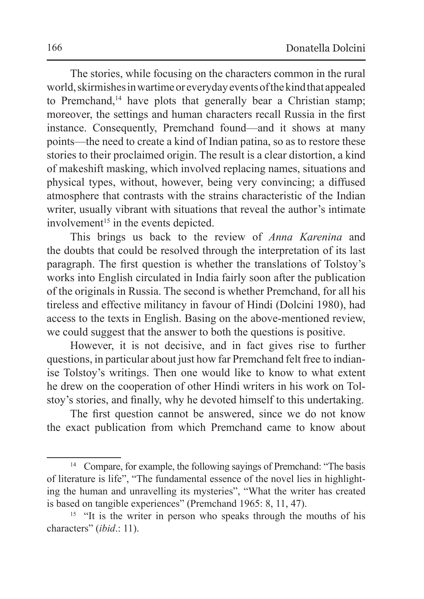The stories, while focusing on the characters common in the rural world, skirmishes inwartime or everyday events of thekind that appealed to Premchand,<sup>14</sup> have plots that generally bear a Christian stamp; moreover, the settings and human characters recall Russia in the first instance. Consequently, Premchand found—and it shows at many points—the need to create a kind of Indian patina, so as to restore these stories to their proclaimed origin. The result is a clear distortion, a kind of makeshift masking, which involved replacing names, situations and physical types, without, however, being very convincing; a diffused atmosphere that contrasts with the strains characteristic of the Indian writer, usually vibrant with situations that reveal the author's intimate  $involvement<sup>15</sup>$  in the events depicted.

This brings us back to the review of *Anna Karenina* and the doubts that could be resolved through the interpretation of its last paragraph. The first question is whether the translations of Tolstoy's works into English circulated in India fairly soon after the publication of the originals in Russia. The second is whether Premchand, for all his tireless and effective militancy in favour of Hindi (Dolcini 1980), had access to the texts in English. Basing on the above-mentioned review, we could suggest that the answer to both the questions is positive.

However, it is not decisive, and in fact gives rise to further questions, in particular about just how far Premchand felt free to indianise Tolstoy's writings. Then one would like to know to what extent he drew on the cooperation of other Hindi writers in his work on Tolstoy's stories, and finally, why he devoted himself to this undertaking.

The first question cannot be answered, since we do not know the exact publication from which Premchand came to know about

<sup>&</sup>lt;sup>14</sup> Compare, for example, the following sayings of Premchand: "The basis of literature is life", "The fundamental essence of the novel lies in highlighting the human and unravelling its mysteries", "What the writer has created is based on tangible experiences" (Premchand 1965: 8, 11, 47).

<sup>&</sup>lt;sup>15</sup> "It is the writer in person who speaks through the mouths of his characters" (*ibid*.: 11).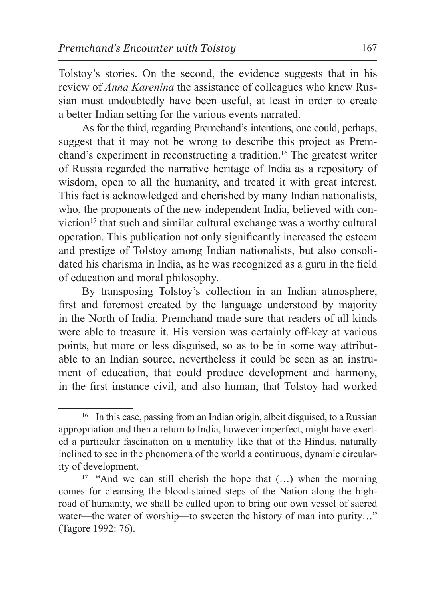Tolstoy's stories. On the second, the evidence suggests that in his review of *Anna Karenina* the assistance of colleagues who knew Russian must undoubtedly have been useful, at least in order to create a better Indian setting for the various events narrated.

As for the third, regarding Premchand's intentions, one could, perhaps, suggest that it may not be wrong to describe this project as Premchand's experiment in reconstructing a tradition.16 The greatest writer of Russia regarded the narrative heritage of India as a repository of wisdom, open to all the humanity, and treated it with great interest. This fact is acknowledged and cherished by many Indian nationalists, who, the proponents of the new independent India, believed with conviction $17$  that such and similar cultural exchange was a worthy cultural operation. This publication not only significantly increased the esteem and prestige of Tolstoy among Indian nationalists, but also consolidated his charisma in India, as he was recognized as a guru in the field of education and moral philosophy.

By transposing Tolstoy's collection in an Indian atmosphere, first and foremost created by the language understood by majority in the North of India, Premchand made sure that readers of all kinds were able to treasure it. His version was certainly off-key at various points, but more or less disguised, so as to be in some way attributable to an Indian source, nevertheless it could be seen as an instrument of education, that could produce development and harmony, in the first instance civil, and also human, that Tolstoy had worked

<sup>&</sup>lt;sup>16</sup> In this case, passing from an Indian origin, albeit disguised, to a Russian appropriation and then a return to India, however imperfect, might have exerted a particular fascination on a mentality like that of the Hindus, naturally inclined to see in the phenomena of the world a continuous, dynamic circularity of development.

<sup>&</sup>lt;sup>17</sup> "And we can still cherish the hope that  $(...)$  when the morning comes for cleansing the blood-stained steps of the Nation along the highroad of humanity, we shall be called upon to bring our own vessel of sacred water—the water of worship—to sweeten the history of man into purity..." (Tagore 1992: 76).